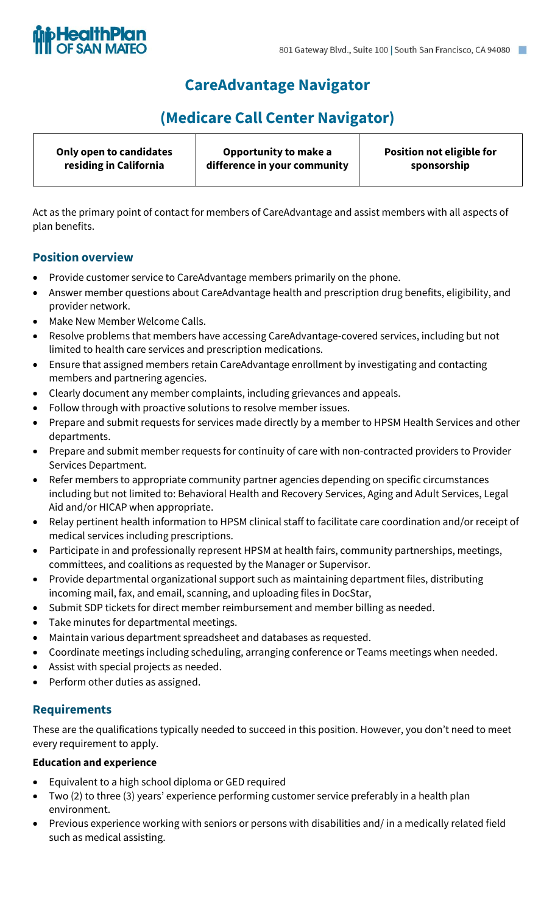

# **CareAdvantage Navigator**

# **(Medicare Call Center Navigator)**

| Only open to candidates | Opportunity to make a        | Position not eligible for |
|-------------------------|------------------------------|---------------------------|
| residing in California  | difference in your community | sponsorship               |

Act as the primary point of contact for members of CareAdvantage and assist members with all aspects of plan benefits.

### **Position overview**

- Provide customer service to CareAdvantage members primarily on the phone.
- Answer member questions about CareAdvantage health and prescription drug benefits, eligibility, and provider network.
- Make New Member Welcome Calls.
- Resolve problems that members have accessing CareAdvantage-covered services, including but not limited to health care services and prescription medications.
- Ensure that assigned members retain CareAdvantage enrollment by investigating and contacting members and partnering agencies.
- Clearly document any member complaints, including grievances and appeals.
- Follow through with proactive solutions to resolve member issues.
- Prepare and submit requests for services made directly by a member to HPSM Health Services and other departments.
- Prepare and submit member requests for continuity of care with non-contracted providers to Provider Services Department.
- Refer members to appropriate community partner agencies depending on specific circumstances including but not limited to: Behavioral Health and Recovery Services, Aging and Adult Services, Legal Aid and/or HICAP when appropriate.
- Relay pertinent health information to HPSM clinical staff to facilitate care coordination and/or receipt of medical services including prescriptions.
- Participate in and professionally represent HPSM at health fairs, community partnerships, meetings, committees, and coalitions as requested by the Manager or Supervisor.
- Provide departmental organizational support such as maintaining department files, distributing incoming mail, fax, and email, scanning, and uploading files in DocStar,
- Submit SDP tickets for direct member reimbursement and member billing as needed.
- Take minutes for departmental meetings.
- Maintain various department spreadsheet and databases as requested.
- Coordinate meetings including scheduling, arranging conference or Teams meetings when needed.
- Assist with special projects as needed.
- Perform other duties as assigned.

## **Requirements**

These are the qualifications typically needed to succeed in this position. However, you don't need to meet every requirement to apply.

#### **Education and experience**

- Equivalent to a high school diploma or GED required
- Two (2) to three (3) years' experience performing customer service preferably in a health plan environment.
- Previous experience working with seniors or persons with disabilities and/ in a medically related field such as medical assisting.